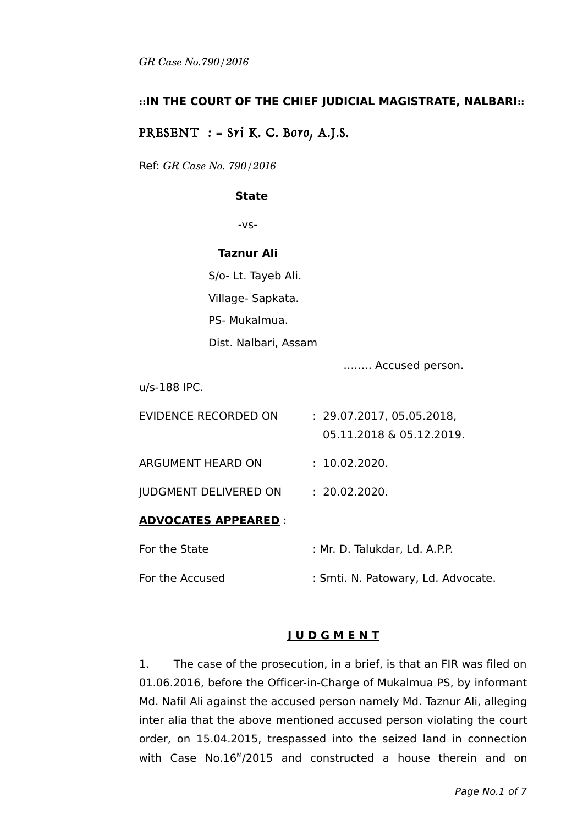# **::IN THE COURT OF THE CHIEF JUDICIAL MAGISTRATE, NALBARI::**

# PRESENT  $:$  = Sri K. C. Boro, A.J.S.

Ref: *GR Case No. 790/2016*

#### **State**

-vs-

#### **Taznur Ali**

S/o- Lt. Tayeb Ali. Village- Sapkata. PS- Mukalmua. Dist. Nalbari, Assam

…….. Accused person.

u/s-188 IPC.

| ADVOCATES APPEARED           |                                                       |
|------------------------------|-------------------------------------------------------|
| <b>JUDGMENT DELIVERED ON</b> | : 20.02.2020.                                         |
| <b>ARGUMENT HEARD ON</b>     | : 10.02.2020.                                         |
| EVIDENCE RECORDED ON         | : 29.07.2017, 05.05.2018,<br>05.11.2018 & 05.12.2019. |
|                              |                                                       |

## **ADVOCATES APPEARED** :

| For the State   | : Mr. D. Talukdar, Ld. A.P.P.      |
|-----------------|------------------------------------|
| For the Accused | : Smti. N. Patowary, Ld. Advocate. |

## **J U D G M E N T**

1. The case of the prosecution, in a brief, is that an FIR was filed on 01.06.2016, before the Officer-in-Charge of Mukalmua PS, by informant Md. Nafil Ali against the accused person namely Md. Taznur Ali, alleging inter alia that the above mentioned accused person violating the court order, on 15.04.2015, trespassed into the seized land in connection with Case No.16<sup>M</sup>/2015 and constructed a house therein and on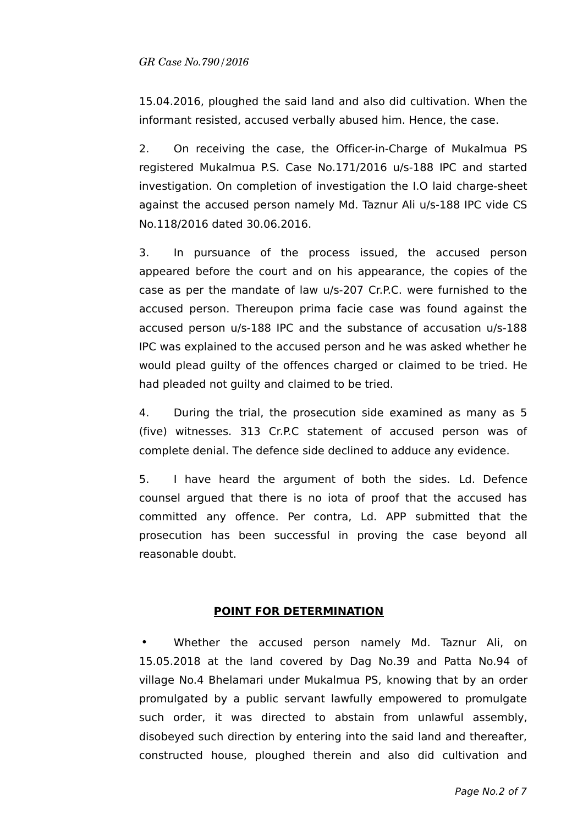15.04.2016, ploughed the said land and also did cultivation. When the informant resisted, accused verbally abused him. Hence, the case.

2. On receiving the case, the Officer-in-Charge of Mukalmua PS registered Mukalmua P.S. Case No.171/2016 u/s-188 IPC and started investigation. On completion of investigation the I.O laid charge-sheet against the accused person namely Md. Taznur Ali u/s-188 IPC vide CS No.118/2016 dated 30.06.2016.

3. In pursuance of the process issued, the accused person appeared before the court and on his appearance, the copies of the case as per the mandate of law u/s-207 Cr.P.C. were furnished to the accused person. Thereupon prima facie case was found against the accused person u/s-188 IPC and the substance of accusation u/s-188 IPC was explained to the accused person and he was asked whether he would plead guilty of the offences charged or claimed to be tried. He had pleaded not guilty and claimed to be tried.

4. During the trial, the prosecution side examined as many as 5 (five) witnesses. 313 Cr.P.C statement of accused person was of complete denial. The defence side declined to adduce any evidence.

5. I have heard the argument of both the sides. Ld. Defence counsel argued that there is no iota of proof that the accused has committed any offence. Per contra, Ld. APP submitted that the prosecution has been successful in proving the case beyond all reasonable doubt.

## **POINT FOR DETERMINATION**

• Whether the accused person namely Md. Taznur Ali, on 15.05.2018 at the land covered by Dag No.39 and Patta No.94 of village No.4 Bhelamari under Mukalmua PS, knowing that by an order promulgated by a public servant lawfully empowered to promulgate such order, it was directed to abstain from unlawful assembly, disobeyed such direction by entering into the said land and thereafter, constructed house, ploughed therein and also did cultivation and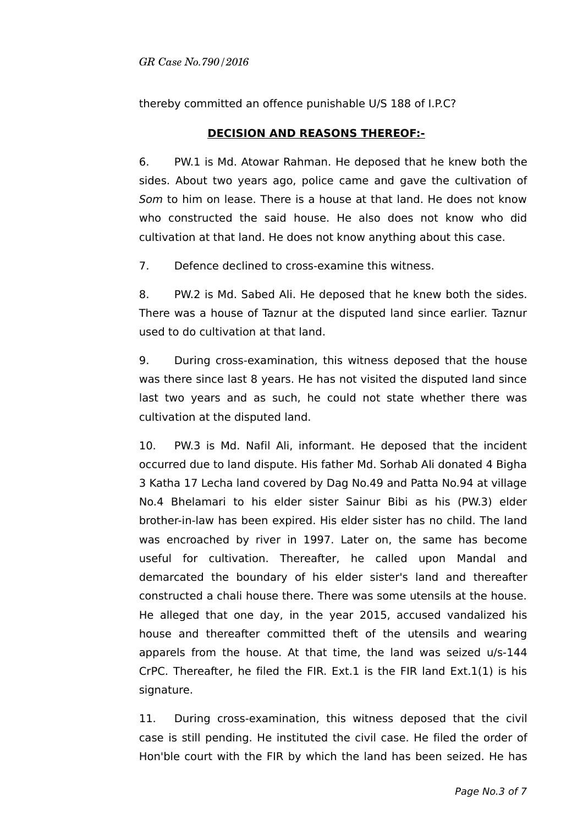thereby committed an offence punishable U/S 188 of I.P.C?

# **DECISION AND REASONS THEREOF:-**

6. PW.1 is Md. Atowar Rahman. He deposed that he knew both the sides. About two years ago, police came and gave the cultivation of Som to him on lease. There is a house at that land. He does not know who constructed the said house. He also does not know who did cultivation at that land. He does not know anything about this case.

7. Defence declined to cross-examine this witness.

8. PW.2 is Md. Sabed Ali. He deposed that he knew both the sides. There was a house of Taznur at the disputed land since earlier. Taznur used to do cultivation at that land.

9. During cross-examination, this witness deposed that the house was there since last 8 years. He has not visited the disputed land since last two years and as such, he could not state whether there was cultivation at the disputed land.

10. PW.3 is Md. Nafil Ali, informant. He deposed that the incident occurred due to land dispute. His father Md. Sorhab Ali donated 4 Bigha 3 Katha 17 Lecha land covered by Dag No.49 and Patta No.94 at village No.4 Bhelamari to his elder sister Sainur Bibi as his (PW.3) elder brother-in-law has been expired. His elder sister has no child. The land was encroached by river in 1997. Later on, the same has become useful for cultivation. Thereafter, he called upon Mandal and demarcated the boundary of his elder sister's land and thereafter constructed a chali house there. There was some utensils at the house. He alleged that one day, in the year 2015, accused vandalized his house and thereafter committed theft of the utensils and wearing apparels from the house. At that time, the land was seized u/s-144 CrPC. Thereafter, he filed the FIR. Ext.1 is the FIR land  $Ext.1(1)$  is his signature.

11. During cross-examination, this witness deposed that the civil case is still pending. He instituted the civil case. He filed the order of Hon'ble court with the FIR by which the land has been seized. He has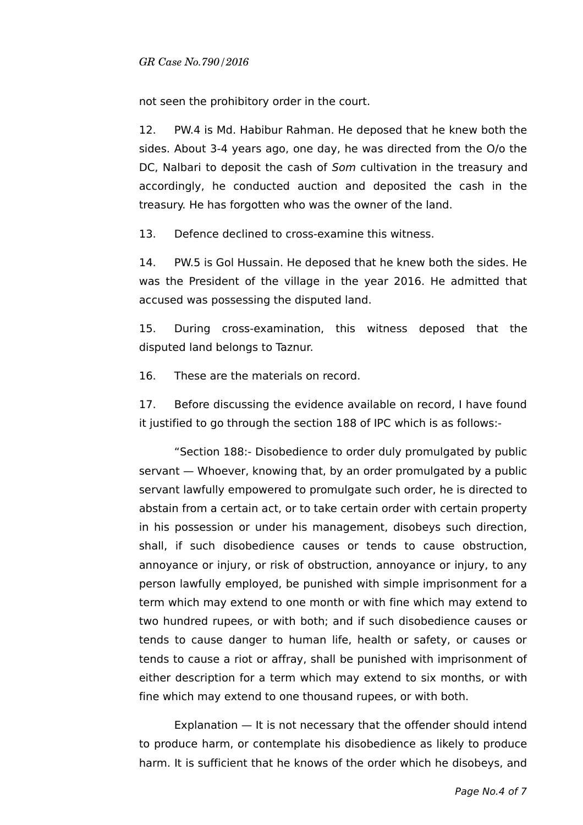not seen the prohibitory order in the court.

12. PW.4 is Md. Habibur Rahman. He deposed that he knew both the sides. About 3-4 years ago, one day, he was directed from the O/o the DC, Nalbari to deposit the cash of Som cultivation in the treasury and accordingly, he conducted auction and deposited the cash in the treasury. He has forgotten who was the owner of the land.

13. Defence declined to cross-examine this witness.

14. PW.5 is Gol Hussain. He deposed that he knew both the sides. He was the President of the village in the year 2016. He admitted that accused was possessing the disputed land.

15. During cross-examination, this witness deposed that the disputed land belongs to Taznur.

16. These are the materials on record.

17. Before discussing the evidence available on record, I have found it justified to go through the section 188 of IPC which is as follows:-

"Section 188:- Disobedience to order duly promulgated by public servant — Whoever, knowing that, by an order promulgated by a public servant lawfully empowered to promulgate such order, he is directed to abstain from a certain act, or to take certain order with certain property in his possession or under his management, disobeys such direction, shall, if such disobedience causes or tends to cause obstruction, annoyance or injury, or risk of obstruction, annoyance or injury, to any person lawfully employed, be punished with simple imprisonment for a term which may extend to one month or with fine which may extend to two hundred rupees, or with both; and if such disobedience causes or tends to cause danger to human life, health or safety, or causes or tends to cause a riot or affray, shall be punished with imprisonment of either description for a term which may extend to six months, or with fine which may extend to one thousand rupees, or with both.

Explanation — It is not necessary that the offender should intend to produce harm, or contemplate his disobedience as likely to produce harm. It is sufficient that he knows of the order which he disobeys, and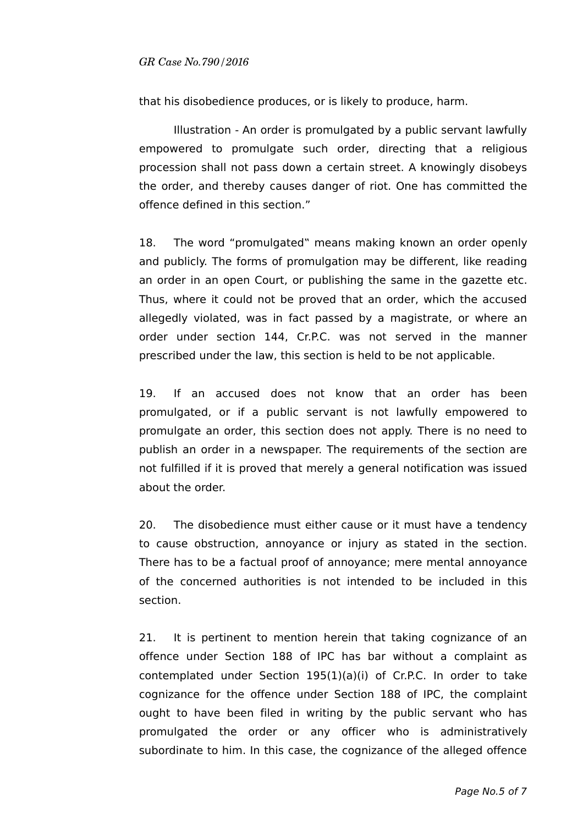that his disobedience produces, or is likely to produce, harm.

Illustration - An order is promulgated by a public servant lawfully empowered to promulgate such order, directing that a religious procession shall not pass down a certain street. A knowingly disobeys the order, and thereby causes danger of riot. One has committed the offence defined in this section."

18. The word "promulgated" means making known an order openly and publicly. The forms of promulgation may be different, like reading an order in an open Court, or publishing the same in the gazette etc. Thus, where it could not be proved that an order, which the accused allegedly violated, was in fact passed by a magistrate, or where an order under section 144, Cr.P.C. was not served in the manner prescribed under the law, this section is held to be not applicable.

19. If an accused does not know that an order has been promulgated, or if a public servant is not lawfully empowered to promulgate an order, this section does not apply. There is no need to publish an order in a newspaper. The requirements of the section are not fulfilled if it is proved that merely a general notification was issued about the order.

20. The disobedience must either cause or it must have a tendency to cause obstruction, annoyance or injury as stated in the section. There has to be a factual proof of annoyance; mere mental annoyance of the concerned authorities is not intended to be included in this section.

21. It is pertinent to mention herein that taking cognizance of an offence under Section 188 of IPC has bar without a complaint as contemplated under Section 195(1)(a)(i) of Cr.P.C. In order to take cognizance for the offence under Section 188 of IPC, the complaint ought to have been filed in writing by the public servant who has promulgated the order or any officer who is administratively subordinate to him. In this case, the cognizance of the alleged offence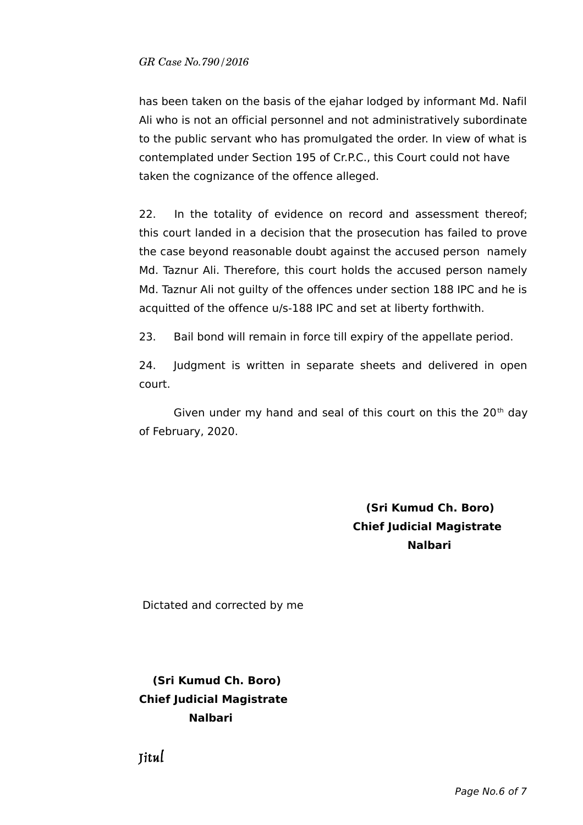has been taken on the basis of the ejahar lodged by informant Md. Nafil Ali who is not an official personnel and not administratively subordinate to the public servant who has promulgated the order. In view of what is contemplated under Section 195 of Cr.P.C., this Court could not have taken the cognizance of the offence alleged.

22. In the totality of evidence on record and assessment thereof; this court landed in a decision that the prosecution has failed to prove the case beyond reasonable doubt against the accused person namely Md. Taznur Ali. Therefore, this court holds the accused person namely Md. Taznur Ali not guilty of the offences under section 188 IPC and he is acquitted of the offence u/s-188 IPC and set at liberty forthwith.

23. Bail bond will remain in force till expiry of the appellate period.

24. Judgment is written in separate sheets and delivered in open court.

Given under my hand and seal of this court on this the  $20<sup>th</sup>$  day of February, 2020.

> **(Sri Kumud Ch. Boro) Chief Judicial Magistrate Nalbari**

Dictated and corrected by me

# **(Sri Kumud Ch. Boro) Chief Judicial Magistrate Nalbari**

Jitul